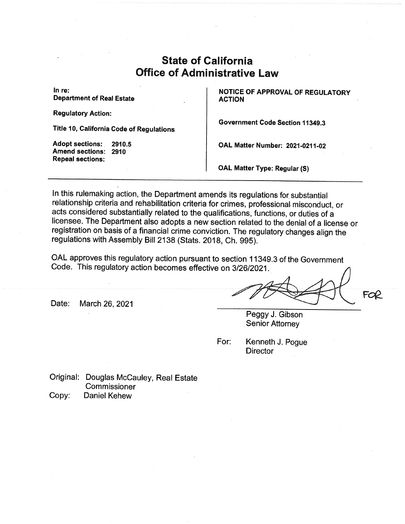# State of California Office of Administrative Law

Department of Real Estate

Regulatory Action:

Title 10, California Code of Regulations

Amend sections: 2910 Repeal sections:

In re:<br>  $\begin{array}{|c|c|c|c|c|}\n\hline\n\text{I} & \text{NOTICE OF APPROVAL OF REGULAR} \\
\text{Department of Real Estimate} & \text{ACTION} \\
\hline\n\end{array}$ 

Government Code Section 11349.3

Adopt sections:. 2910.5 OAL Matter Number: 2021-0211-02

OAL Matter Type: Regular (S)

In this rulemaking action, the Department amends its regulations for substantial relationship criteria and rehabilitation criteria for crimes, professional misconduct, or acts considered substantially related to the qualifications, functions, or duties of a licensee. The Department also adopts a new section related to the denial of a license or registration on basis of a financial crime conviction. The regulatory changes align the regulations with Assembly Bill 2138 (Stats. 2018, Ch. 995).

OAL approves this regulatory action pursuant to section 11349.3 of the Government Code. This regulatory action becomes effective on 3/26/2021.

Date: March 26, 2021

Peggy J. Gibson Senior Attorney

For: Kenneth J. Pogue **Director** 

Original: Douglas Mccauley, Real Estate Commissioner Copy: Daniel Kehew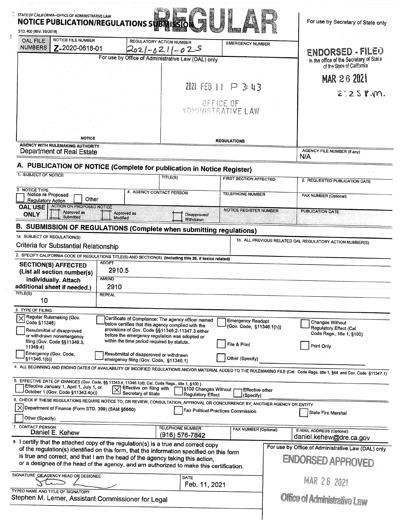| STATE OF CALIFORNIA-OFFICE OF ADMINISTRATIVE LAW<br><b>NOTICE PUBLICATION/REGULATIONS SUBJ</b><br>STD. 400 (REV. 10/2019)                                                         |                                                                                                           | <b>Record</b>                                   |                               |  | For use by Secretary of State only                          |
|-----------------------------------------------------------------------------------------------------------------------------------------------------------------------------------|-----------------------------------------------------------------------------------------------------------|-------------------------------------------------|-------------------------------|--|-------------------------------------------------------------|
| <b>NOTICE FILE NUMBER</b><br><b>OAL FILE</b><br><b>NUMBERS</b><br>Z-2020-0618-01                                                                                                  | <b>REGULATORY ACTION NUMBER</b><br>2021-0211<br>For use by Office of Administrative Law (OAL) only        | $-02S$                                          | <b>EMERGENCY NUMBER</b>       |  | ENDORSED - FILED<br>in the office of the Secretary of State |
|                                                                                                                                                                                   |                                                                                                           |                                                 |                               |  | of the State of California                                  |
|                                                                                                                                                                                   |                                                                                                           |                                                 |                               |  | MAR 26 2021                                                 |
|                                                                                                                                                                                   |                                                                                                           | 2021 FEB 11 P 3: 43                             |                               |  | $2:25$ p.m.                                                 |
|                                                                                                                                                                                   |                                                                                                           | OFFICE OF -<br><b><i>ADMINISTRATIVE LAW</i></b> |                               |  |                                                             |
|                                                                                                                                                                                   |                                                                                                           |                                                 |                               |  |                                                             |
|                                                                                                                                                                                   |                                                                                                           |                                                 |                               |  |                                                             |
| <b>NOTICE</b>                                                                                                                                                                     |                                                                                                           | <b>REGULATIONS</b>                              |                               |  |                                                             |
| <b>AGENCY WITH RULEMAKING AUTHORITY</b><br>Department of Real Estate                                                                                                              |                                                                                                           |                                                 |                               |  | AGENCY FILE NUMBER (If any)<br>N/A                          |
| A. PUBLICATION OF NOTICE (Complete for publication in Notice Register)                                                                                                            |                                                                                                           |                                                 |                               |  |                                                             |
| 1. SUBJECT OF NOTICE                                                                                                                                                              | TITLE(S)                                                                                                  |                                                 | <b>FIRST SECTION AFFECTED</b> |  | 2. REQUESTED PUBLICATION DATE                               |
| 3. NOTICE TYPE                                                                                                                                                                    |                                                                                                           |                                                 |                               |  |                                                             |
| Notice re Proposed<br>Other<br><b>Regulatory Action</b>                                                                                                                           | 4. AGENCY CONTACT PERSON                                                                                  |                                                 | <b>TELEPHONE NUMBER</b>       |  | FAX NUMBER (Optional)                                       |
| <b>ACTION ON PROPOSED NOTICE</b><br><b>OAL USE</b><br>Approved as<br><b>ONLY</b><br>Submitted                                                                                     | Approved as                                                                                               | Disapproved/                                    | <b>NOTICE REGISTER NUMBER</b> |  | <b>PUBLICATION DATE</b>                                     |
| B. SUBMISSION OF REGULATIONS (Complete when submitting regulations)                                                                                                               | <b>Modified</b>                                                                                           | Withdrawn                                       |                               |  |                                                             |
| 1a. SUBJECT OF REGULATION(S)                                                                                                                                                      |                                                                                                           |                                                 |                               |  |                                                             |
| Criteria for Substantial Relationship                                                                                                                                             |                                                                                                           |                                                 |                               |  | 1b. ALL PREVIOUS RELATED OAL REGULATORY ACTION NUMBER(S)    |
| 2. SPECIFY CALIFORNIA CODE OF REGULATIONS TITLE(S) AND SECTION(S) (Including title 26, if toxics related)                                                                         |                                                                                                           |                                                 |                               |  |                                                             |
| <b>ADOPT</b><br><b>SECTION(S) AFFECTED</b>                                                                                                                                        |                                                                                                           |                                                 |                               |  |                                                             |
| (List all section number(s)                                                                                                                                                       | 2910.5                                                                                                    |                                                 |                               |  |                                                             |
| <b>AMEND</b><br>individually. Attach                                                                                                                                              |                                                                                                           |                                                 |                               |  |                                                             |
| additional sheet if needed.)<br>2910<br>TITLE(S)<br><b>REPEAL</b>                                                                                                                 |                                                                                                           |                                                 |                               |  |                                                             |
| 10                                                                                                                                                                                |                                                                                                           |                                                 |                               |  |                                                             |
| 3. TYPE OF FILING                                                                                                                                                                 |                                                                                                           |                                                 |                               |  |                                                             |
| Regular Rulemaking (Gov.<br>Code §11346)                                                                                                                                          | Certificate of Compliance: The agency officer named<br>below certifies that this agency complied with the |                                                 | <b>Emergency Readopt</b>      |  | Changes Without                                             |
| Resubmittal of disapproved<br>or withdrawn nonemergency                                                                                                                           | provisions of Gov. Code §§11346.2-11347.3 either<br>before the emergency regulation was adopted or        |                                                 | (Gov. Code, §11346.1(h))      |  | Regulatory Effect (Cal.<br>Code Regs., title 1, §100)       |
| filing (Gov. Code §§11349.3,                                                                                                                                                      | within the time period required by statute.                                                               |                                                 | File & Print                  |  | Print Only                                                  |
| 11349.4<br>Emergency (Gov. Code,                                                                                                                                                  | Resubmittal of disapproved or withdrawn                                                                   |                                                 |                               |  |                                                             |
| \$11346.1(b)                                                                                                                                                                      | emergency filing (Gov. Code, §11346.1)                                                                    |                                                 | Other (Specify)               |  |                                                             |
| 4. ALL BEGINNING AND ENDING DATES OF AVAILABILITY OF MODIFIED REGULATIONS AND/OR MATERIAL ADDED TO THE RULEMAKING FILE (Cal. Code Regs. title 1, §44 and Gov. Code §11347.1)      |                                                                                                           |                                                 |                               |  |                                                             |
| 5. EFFECTIVE DATE OF CHANGES (Gov. Code, §§ 11343.4, 11346.1(d); Cal. Code Regs., title 1, §100)<br>Effective January 1, April 1, July 1, or<br>October 1 (Gov. Code §11343.4(a)) | Effective on filing with<br>Secretary of State                                                            | ∫§100 Changes Without ∣                         | <b>Effective other</b>        |  |                                                             |
| 6. CHECK IF THESE REGULATIONS REQUIRE NOTICE TO, OR REVIEW, CONSULTATION, APPROVAL OR CONCURRENCE BY, ANOTHER AGENCY OR ENTITY                                                    |                                                                                                           | <b>Regulatory Effect</b>                        | (Specify)                     |  |                                                             |
| $\times$<br>Department of Finance (Form STD, 399) (SAM §6660)                                                                                                                     |                                                                                                           | Fair Political Practices Commission             |                               |  | State Fire Marshal                                          |
| Other (Specify)                                                                                                                                                                   |                                                                                                           |                                                 |                               |  |                                                             |
| 7. CONTACT PERSON<br>Daniel E. Kehew                                                                                                                                              | <b>TELEPHONE NUMBER</b><br>(916) 576-7842                                                                 |                                                 | <b>FAX NUMBER (Optional)</b>  |  | E-MAIL ADDRESS (Optional)                                   |
| 8. I certify that the attached copy of the regulation(s) is a true and correct copy                                                                                               |                                                                                                           |                                                 |                               |  | daniel.kehew@dre.ca.gov                                     |
| of the regulation(s) identified on this form, that the information specified on this form                                                                                         |                                                                                                           |                                                 |                               |  | For use by Office of Administrative Law (OAL) only          |
| is true and correct, and that I am the head of the agency taking this action,<br>or a designee of the head of the agency, and am authorized to make this certification.           |                                                                                                           |                                                 |                               |  | ENDORSED APPROVED                                           |
| SIGNATURE OF AGENCY HEAD OR DESIGNEE                                                                                                                                              |                                                                                                           |                                                 |                               |  |                                                             |
|                                                                                                                                                                                   |                                                                                                           | <b>DATE</b><br>Feb. 11, 2021                    |                               |  | <b>MAR 26 2021</b>                                          |
| TYPED NAME AND TITLE OF SIGNATORY                                                                                                                                                 |                                                                                                           |                                                 |                               |  |                                                             |
| Stephen M. Lerner, Assistant Commissioner for Legal                                                                                                                               |                                                                                                           |                                                 |                               |  | Office of Administrative Law                                |
|                                                                                                                                                                                   |                                                                                                           |                                                 |                               |  |                                                             |
|                                                                                                                                                                                   |                                                                                                           |                                                 |                               |  |                                                             |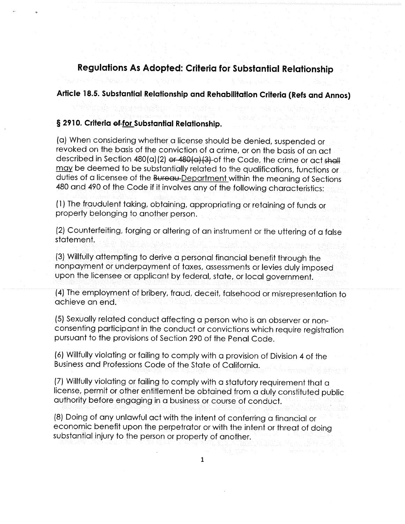### Regulations As Adopted: Criteria for Substantial Relationship

### Article 18.5. Substantial Relationship and Rehabilitation Criteria (Refs and Annos)

#### § 2910. Criteria of for Substantial Relationship.

(a) When considering whether a license should be denied, suspended or revoked on the basis of the conviction of a crime, or on the basis of an act described in Section 480(a)(2) or 480(a)(3) of the Code, the crime or act shall may be deemed to be substantially related to the qualifications, functions or duties of a licensee of the Bureau-Department within the meaning of Sections 480 and 490 of the Code if it involves any of the following characteristics:

(1) The fraudulent taking, obtaining, appropriating or retaining of funds or property belonging to another person.

(2) Counterfeiting, forging or altering of an instrument or the uttering of a false statement.

(3) Willfully attempting to derive a personal financial benefit through the nonpayment or underpayment of taxes, assessments or levies duly imposed upon the licensee or applicant by federal, state, or local government.

(4) The employment of bribery, fraud, deceit, falsehood or misrepresentation to achieve an end.

(5) Sexually related conduct affecting a person who is an observer or nonconsenting participant in the conduct or convictions which require registration pursuant to the provisions of Section 290 of the Penal Code.

(6) Willfully violating or failing to comply with a provision of Division 4 of the Business and Professions Code of the State of California.

(7) Willfully violating or failing to comply with a statutory requirement that a license, permit or other entitlement be obtained from a duly constituted public authority before engaging in a business or course of conduct.

(8) Doing of any unlawful act with the intent of conferring a financial or economic benefit upon the perpetrator or with the intent or threat of doing substantial injury to the person or property of another.

 $\overline{1}$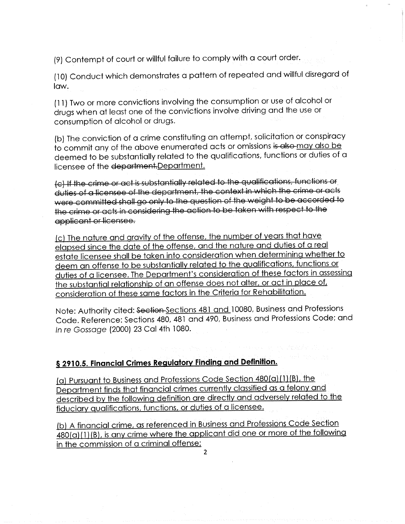(9) Contempt of court or willful failure to comply with a court order.

(10) Conduct which demonstrates a pattern of repeated and willful disregard of law.

(11) Two or more convictions involving the consumption or use of alcohol or drugs when at least one of the convictions involve driving and the use or consumption of alcohol or drugs.

(b) The conviction of a crime constituting an attempt, solicitation or conspiracy<br>to commit any of the above enumerated acts or omissions is also may also be to commit any of the above enumerated acts or omissions i<del>s also-may also be</del> deemed to be substantially related to the qualifications, functions or duties or a licensee of the department. Department.

(c) If the crime or act is substantially related to the qualifications, functions or duties of a licensee of the department, the context in which the crime or acts were committed shall go only to the question of the weight to be accorded to the crime or acts in considering the action to be taken with respect to the applicant or licensee.

(c) The nature and gravity of the offense, the number of years that have<br>elapsed since the date of the offense, and the nature and duties of a real elapsed since the date of the offense, and the nature and duties of a real estate licensee shall be taken into consideration when determining when let be deem an offense to be substantially related to the qualifications, functions or<br>duties of a licensee. The Department's consideration of these factors in assessing duties of a licensee. The Department's consideration of these factors in assessing the substantial relationship of an offense does not alter, or act in place of,<br>in the Criteria for Peberliutian consideration of these same factors in the Criteria for Rehabilitation.

Note: Authority cited: Section-Sections 481 and 10080, Business and Professions Code. Reference: Sections 480, 481 and 490, Business and Professions Code; and In re Gossage (2000) 23 Cal 4th 1080.

# \$ 2910.5. Financial Crimes Regulatory Finding and Definition.

(a) Pursuant to Business and Professions Code Section 480(a) (1) (B), the Department finds that financial crimes currently classified as a felony and described by the following definition are directly and adversely related to the fiduciary qualifications, functions, or duties of a licensee.

(b) A financial crime, as referenced in Business and Professions Code Section 480(a) (1) (B), is any crime where the applicant did one or more of the following in the commission of a criminal offense:

 $\mathcal{L}$